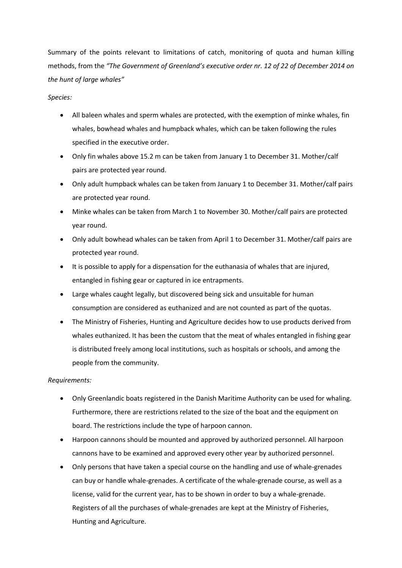Summary of the points relevant to limitations of catch, monitoring of quota and human killing methods, from the *"The Government of Greenland's executive order nr. 12 of 22 of December 2014 on the hunt of large whales"*

## *Species:*

- All baleen whales and sperm whales are protected, with the exemption of minke whales, fin whales, bowhead whales and humpback whales, which can be taken following the rules specified in the executive order.
- Only fin whales above 15.2 m can be taken from January 1 to December 31. Mother/calf pairs are protected year round.
- Only adult humpback whales can be taken from January 1 to December 31. Mother/calf pairs are protected year round.
- Minke whales can be taken from March 1 to November 30. Mother/calf pairs are protected year round.
- Only adult bowhead whales can be taken from April 1 to December 31. Mother/calf pairs are protected year round.
- It is possible to apply for a dispensation for the euthanasia of whales that are injured, entangled in fishing gear or captured in ice entrapments.
- Large whales caught legally, but discovered being sick and unsuitable for human consumption are considered as euthanized and are not counted as part of the quotas.
- The Ministry of Fisheries, Hunting and Agriculture decides how to use products derived from whales euthanized. It has been the custom that the meat of whales entangled in fishing gear is distributed freely among local institutions, such as hospitals or schools, and among the people from the community.

## *Requirements:*

- Only Greenlandic boats registered in the Danish Maritime Authority can be used for whaling. Furthermore, there are restrictions related to the size of the boat and the equipment on board. The restrictions include the type of harpoon cannon.
- Harpoon cannons should be mounted and approved by authorized personnel. All harpoon cannons have to be examined and approved every other year by authorized personnel.
- Only persons that have taken a special course on the handling and use of whale-grenades can buy or handle whale-grenades. A certificate of the whale-grenade course, as well as a license, valid for the current year, has to be shown in order to buy a whale-grenade. Registers of all the purchases of whale-grenades are kept at the Ministry of Fisheries, Hunting and Agriculture.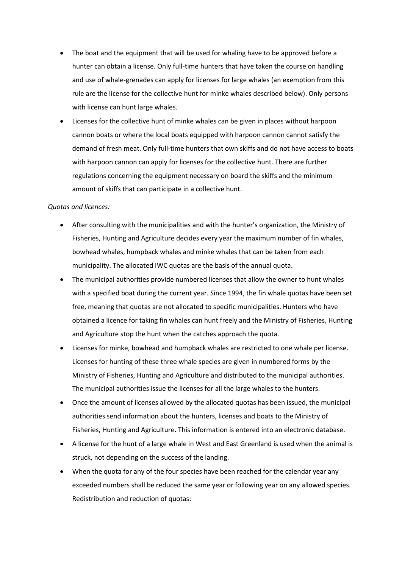- The boat and the equipment that will be used for whaling have to be approved before a hunter can obtain a license. Only full-time hunters that have taken the course on handling and use of whale-grenades can apply for licenses for large whales (an exemption from this rule are the license for the collective hunt for minke whales described below). Only persons with license can hunt large whales.
- Licenses for the collective hunt of minke whales can be given in places without harpoon cannon boats or where the local boats equipped with harpoon cannon cannot satisfy the demand of fresh meat. Only full-time hunters that own skiffs and do not have access to boats with harpoon cannon can apply for licenses for the collective hunt. There are further regulations concerning the equipment necessary on board the skiffs and the minimum amount of skiffs that can participate in a collective hunt.

## *Quotas and licences:*

- After consulting with the municipalities and with the hunter's organization, the Ministry of Fisheries, Hunting and Agriculture decides every year the maximum number of fin whales, bowhead whales, humpback whales and minke whales that can be taken from each municipality. The allocated IWC quotas are the basis of the annual quota.
- The municipal authorities provide numbered licenses that allow the owner to hunt whales with a specified boat during the current year. Since 1994, the fin whale quotas have been set free, meaning that quotas are not allocated to specific municipalities. Hunters who have obtained a licence for taking fin whales can hunt freely and the Ministry of Fisheries, Hunting and Agriculture stop the hunt when the catches approach the quota.
- Licenses for minke, bowhead and humpback whales are restricted to one whale per license. Licenses for hunting of these three whale species are given in numbered forms by the Ministry of Fisheries, Hunting and Agriculture and distributed to the municipal authorities. The municipal authorities issue the licenses for all the large whales to the hunters.
- Once the amount of licenses allowed by the allocated quotas has been issued, the municipal authorities send information about the hunters, licenses and boats to the Ministry of Fisheries, Hunting and Agriculture. This information is entered into an electronic database.
- A license for the hunt of a large whale in West and East Greenland is used when the animal is struck, not depending on the success of the landing.
- When the quota for any of the four species have been reached for the calendar year any exceeded numbers shall be reduced the same year or following year on any allowed species. Redistribution and reduction of quotas: